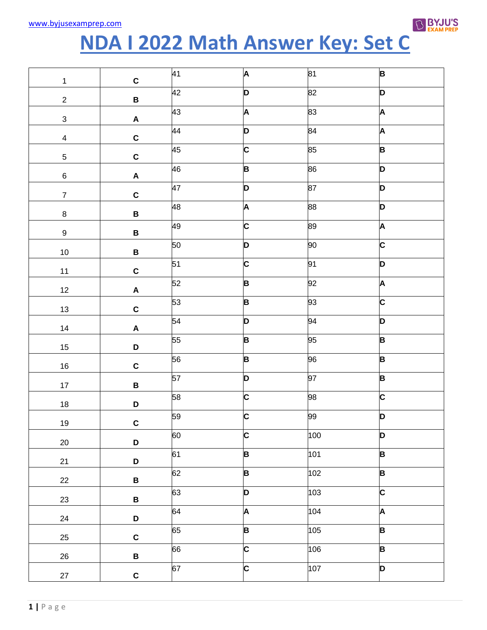

## NDA I 2022 Math Answer Key: Set C

| $\mathbf{1}$     | $\mathbf c$               | 41 | A | 81  | B                       |
|------------------|---------------------------|----|---|-----|-------------------------|
| $\overline{2}$   | $\, {\bf B}$              | 42 | D | 82  | D                       |
| $\mathbf{3}$     | $\boldsymbol{\mathsf{A}}$ | 43 | A | 83  | A                       |
| $\overline{4}$   | $\mathbf C$               | 44 | D | 84  | A                       |
| $\sqrt{5}$       | $\mathbf{C}$              | 45 | C | 85  | B                       |
| $\,6\,$          | $\boldsymbol{\mathsf{A}}$ | 46 | B | 86  | D                       |
| $\overline{7}$   | $\mathbf C$               | 47 | D | 87  | D                       |
| $\bf 8$          | $\, {\bf B} \,$           | 48 | A | 88  | D                       |
| $\boldsymbol{9}$ | $\, {\bf B}$              | 49 | C | 89  | A                       |
| $10\,$           | $\, {\bf B} \,$           | 50 | D | 90  | C                       |
| $11$             | $\mathbf C$               | 51 | C | 91  | D                       |
| 12               | $\boldsymbol{\mathsf{A}}$ | 52 | B | 92  | A                       |
| 13               | $\mathbf C$               | 53 | B | 93  | $\overline{\mathsf{c}}$ |
| 14               | $\boldsymbol{\mathsf{A}}$ | 54 | D | 94  | D                       |
| $15\,$           | $\mathsf D$               | 55 | B | 95  | B                       |
| $16\,$           | $\mathbf C$               | 56 | B | 96  | B                       |
| $17 \,$          | $\, {\bf B}$              | 57 | D | 97  | B                       |
| $18\,$           | D                         | 58 | C | 98  | C                       |
| 19               | $\mathbf c$               | 59 | C | 99  | D                       |
| $20\,$           | $\mathbf D$               | 60 | C | 100 | D                       |
| 21               | D                         | 61 | B | 101 | B                       |
| 22               | $\, {\bf B} \,$           | 62 | B | 102 | $\overline{\mathbf{B}}$ |
| 23               | $\, {\bf B} \,$           | 63 | D | 103 | $\overline{\mathsf{c}}$ |
| 24               | D                         | 64 | A | 104 | A                       |
| 25               | $\mathbf C$               | 65 | B | 105 | B                       |
| 26               | $\, {\bf B} \,$           | 66 | C | 106 | B                       |
| 27               | $\mathbf C$               | 67 | C | 107 | D                       |